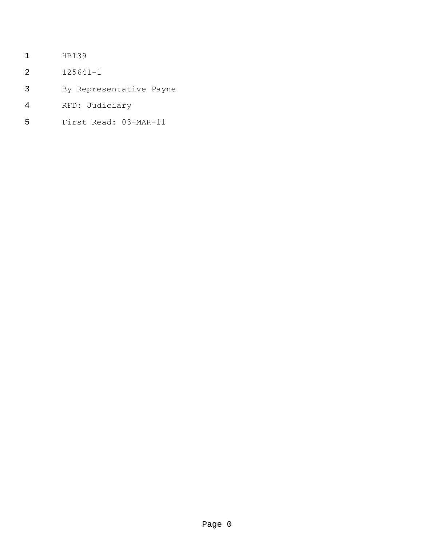- HB139
- 125641-1
- By Representative Payne
- RFD: Judiciary
- First Read: 03-MAR-11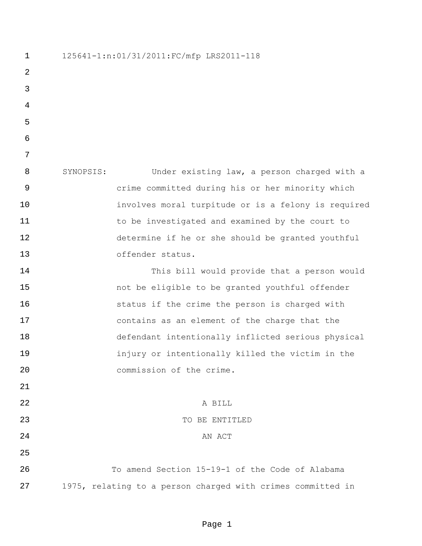125641-1:n:01/31/2011:FC/mfp LRS2011-118 SYNOPSIS: Under existing law, a person charged with a crime committed during his or her minority which involves moral turpitude or is a felony is required to be investigated and examined by the court to determine if he or she should be granted youthful offender status. This bill would provide that a person would not be eligible to be granted youthful offender status if the crime the person is charged with contains as an element of the charge that the defendant intentionally inflicted serious physical injury or intentionally killed the victim in the commission of the crime. 22 A BILL TO BE ENTITLED 24 AN ACT To amend Section 15-19-1 of the Code of Alabama 1975, relating to a person charged with crimes committed in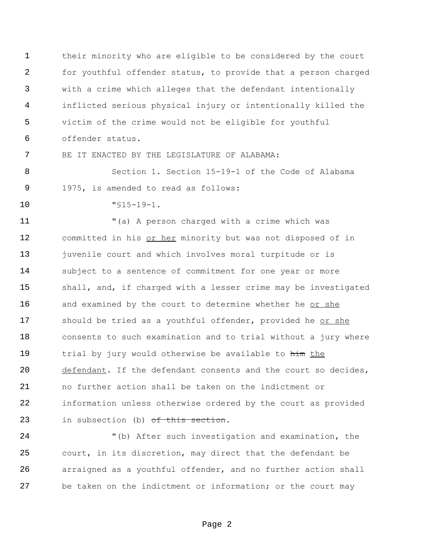their minority who are eligible to be considered by the court for youthful offender status, to provide that a person charged with a crime which alleges that the defendant intentionally inflicted serious physical injury or intentionally killed the victim of the crime would not be eligible for youthful offender status.

BE IT ENACTED BY THE LEGISLATURE OF ALABAMA:

 Section 1. Section 15-19-1 of the Code of Alabama 1975, is amended to read as follows:

"§15-19-1.

 "(a) A person charged with a crime which was 12 committed in his or her minority but was not disposed of in 13 juvenile court and which involves moral turpitude or is subject to a sentence of commitment for one year or more shall, and, if charged with a lesser crime may be investigated and examined by the court to determine whether he or she 17 should be tried as a youthful offender, provided he or she consents to such examination and to trial without a jury where 19 trial by jury would otherwise be available to him the defendant. If the defendant consents and the court so decides, no further action shall be taken on the indictment or information unless otherwise ordered by the court as provided 23 in subsection (b) of this section.

 "(b) After such investigation and examination, the court, in its discretion, may direct that the defendant be arraigned as a youthful offender, and no further action shall be taken on the indictment or information; or the court may